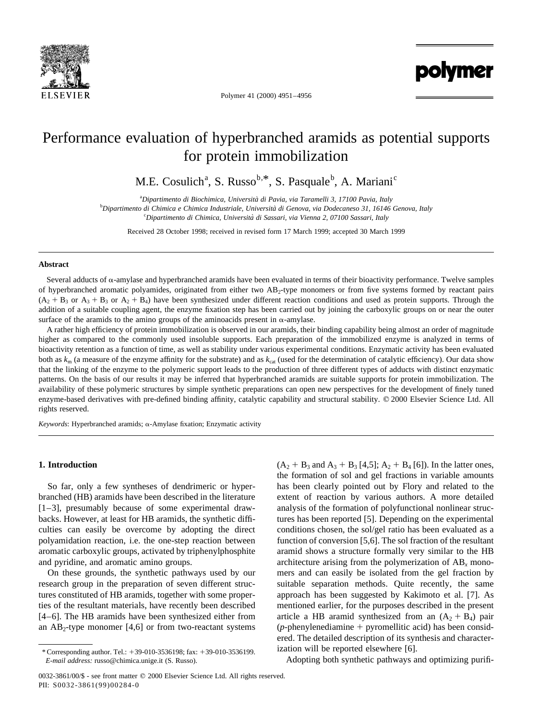

Polymer 41 (2000) 4951–4956

polymer

# Performance evaluation of hyperbranched aramids as potential supports for protein immobilization

M.E. Cosulich<sup>a</sup>, S. Russo<sup>b,\*</sup>, S. Pasquale<sup>b</sup>, A. Mariani<sup>c</sup>

a *Dipartimento di Biochimica, Universita` di Pavia, via Taramelli 3, 17100 Pavia, Italy*

b *Dipartimento di Chimica e Chimica Industriale, Universita` di Genova, via Dodecaneso 31, 16146 Genova, Italy* c *Dipartimento di Chimica, Universita` di Sassari, via Vienna 2, 07100 Sassari, Italy*

Received 28 October 1998; received in revised form 17 March 1999; accepted 30 March 1999

## **Abstract**

Several adducts of  $\alpha$ -amylase and hyperbranched aramids have been evaluated in terms of their bioactivity performance. Twelve samples of hyperbranched aromatic polyamides, originated from either two  $AB_2$ -type monomers or from five systems formed by reactant pairs  $(A_2 + B_3$  or  $A_3 + B_3$  or  $A_2 + B_4$ ) have been synthesized under different reaction conditions and used as protein supports. Through the addition of a suitable coupling agent, the enzyme fixation step has been carried out by joining the carboxylic groups on or near the outer surface of the aramids to the amino groups of the aminoacids present in  $\alpha$ -amylase.

A rather high efficiency of protein immobilization is observed in our aramids, their binding capability being almost an order of magnitude higher as compared to the commonly used insoluble supports. Each preparation of the immobilized enzyme is analyzed in terms of bioactivity retention as a function of time, as well as stability under various experimental conditions. Enzymatic activity has been evaluated both as  $k_m$  (a measure of the enzyme affinity for the substrate) and as  $k_{cat}$  (used for the determination of catalytic efficiency). Our data show that the linking of the enzyme to the polymeric support leads to the production of three different types of adducts with distinct enzymatic patterns. On the basis of our results it may be inferred that hyperbranched aramids are suitable supports for protein immobilization. The availability of these polymeric structures by simple synthetic preparations can open new perspectives for the development of finely tuned enzyme-based derivatives with pre-defined binding affinity, catalytic capability and structural stability. © 2000 Elsevier Science Ltd. All rights reserved.

*Keywords*: Hyperbranched aramids; a-Amylase fixation; Enzymatic activity

# **1. Introduction**

So far, only a few syntheses of dendrimeric or hyperbranched (HB) aramids have been described in the literature [1–3], presumably because of some experimental drawbacks. However, at least for HB aramids, the synthetic difficulties can easily be overcome by adopting the direct polyamidation reaction, i.e. the one-step reaction between aromatic carboxylic groups, activated by triphenylphosphite and pyridine, and aromatic amino groups.

On these grounds, the synthetic pathways used by our research group in the preparation of seven different structures constituted of HB aramids, together with some properties of the resultant materials, have recently been described [4–6]. The HB aramids have been synthesized either from an  $AB_2$ -type monomer [4,6] or from two-reactant systems  $(A_2 + B_3 \text{ and } A_3 + B_3 [4,5]; A_2 + B_4 [6]$ . In the latter ones, the formation of sol and gel fractions in variable amounts has been clearly pointed out by Flory and related to the extent of reaction by various authors. A more detailed analysis of the formation of polyfunctional nonlinear structures has been reported [5]. Depending on the experimental conditions chosen, the sol/gel ratio has been evaluated as a function of conversion [5,6]. The sol fraction of the resultant aramid shows a structure formally very similar to the HB architecture arising from the polymerization of  $AB<sub>x</sub>$  monomers and can easily be isolated from the gel fraction by suitable separation methods. Quite recently, the same approach has been suggested by Kakimoto et al. [7]. As mentioned earlier, for the purposes described in the present article a HB aramid synthesized from an  $(A_2 + B_4)$  pair ( $p$ -phenylenediamine  $+$  pyromellitic acid) has been considered. The detailed description of its synthesis and characterization will be reported elsewhere [6].

Adopting both synthetic pathways and optimizing purifi-

<sup>\*</sup> Corresponding author. Tel.: 139-010-3536198; fax: 139-010-3536199. *E-mail address:* russo@chimica.unige.it (S. Russo).

<sup>0032-3861/00/\$ -</sup> see front matter © 2000 Elsevier Science Ltd. All rights reserved. PII: S0032-3861(99)00284-0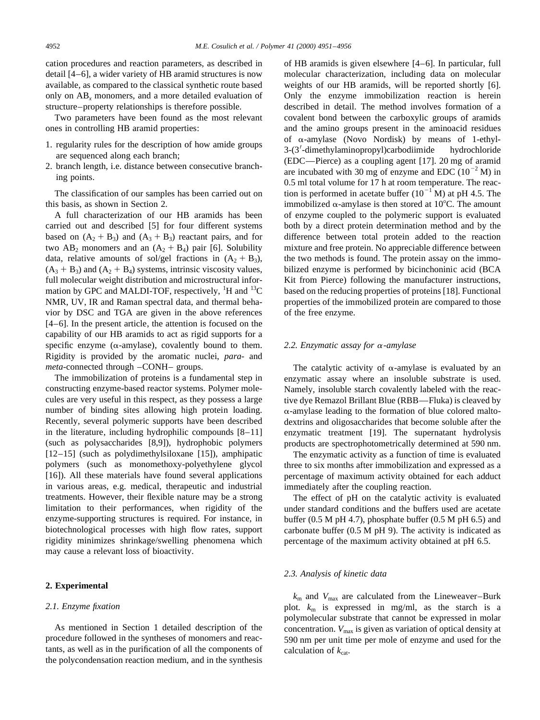cation procedures and reaction parameters, as described in detail [4–6], a wider variety of HB aramid structures is now available, as compared to the classical synthetic route based only on AB*<sup>x</sup>* monomers, and a more detailed evaluation of structure–property relationships is therefore possible.

Two parameters have been found as the most relevant ones in controlling HB aramid properties:

- 1. regularity rules for the description of how amide groups are sequenced along each branch;
- 2. branch length, i.e. distance between consecutive branching points.

The classification of our samples has been carried out on this basis, as shown in Section 2.

A full characterization of our HB aramids has been carried out and described [5] for four different systems based on  $(A_2 + B_3)$  and  $(A_3 + B_3)$  reactant pairs, and for two  $AB_2$  monomers and an  $(A_2 + B_4)$  pair [6]. Solubility data, relative amounts of sol/gel fractions in  $(A_2 + B_3)$ ,  $(A_3 + B_3)$  and  $(A_2 + B_4)$  systems, intrinsic viscosity values, full molecular weight distribution and microstructural information by GPC and MALDI-TOF, respectively,  ${}^{1}$ H and  ${}^{13}$ C NMR, UV, IR and Raman spectral data, and thermal behavior by DSC and TGA are given in the above references [4–6]. In the present article, the attention is focused on the capability of our HB aramids to act as rigid supports for a specific enzyme ( $\alpha$ -amylase), covalently bound to them. Rigidity is provided by the aromatic nuclei, *para*- and *meta*-connected through –CONH– groups.

The immobilization of proteins is a fundamental step in constructing enzyme-based reactor systems. Polymer molecules are very useful in this respect, as they possess a large number of binding sites allowing high protein loading. Recently, several polymeric supports have been described in the literature, including hydrophilic compounds [8–11] (such as polysaccharides [8,9]), hydrophobic polymers [12–15] (such as polydimethylsiloxane [15]), amphipatic polymers (such as monomethoxy-polyethylene glycol [16]). All these materials have found several applications in various areas, e.g. medical, therapeutic and industrial treatments. However, their flexible nature may be a strong limitation to their performances, when rigidity of the enzyme-supporting structures is required. For instance, in biotechnological processes with high flow rates, support rigidity minimizes shrinkage/swelling phenomena which may cause a relevant loss of bioactivity.

## **2. Experimental**

## *2.1. Enzyme fixation*

As mentioned in Section 1 detailed description of the procedure followed in the syntheses of monomers and reactants, as well as in the purification of all the components of the polycondensation reaction medium, and in the synthesis of HB aramids is given elsewhere [4–6]. In particular, full molecular characterization, including data on molecular weights of our HB aramids, will be reported shortly [6]. Only the enzyme immobilization reaction is herein described in detail. The method involves formation of a covalent bond between the carboxylic groups of aramids and the amino groups present in the aminoacid residues of  $\alpha$ -amylase (Novo Nordisk) by means of 1-ethyl-3-(3'-dimethylaminopropyl)carbodiimide hydrochloride (EDC—Pierce) as a coupling agent [17]. 20 mg of aramid are incubated with 30 mg of enzyme and EDC  $(10^{-2} M)$  in 0.5 ml total volume for 17 h at room temperature. The reaction is performed in acetate buffer  $(10^{-1} M)$  at pH 4.5. The immobilized  $\alpha$ -amylase is then stored at 10°C. The amount of enzyme coupled to the polymeric support is evaluated both by a direct protein determination method and by the difference between total protein added to the reaction mixture and free protein. No appreciable difference between the two methods is found. The protein assay on the immobilized enzyme is performed by bicinchoninic acid (BCA Kit from Pierce) following the manufacturer instructions, based on the reducing properties of proteins [18]. Functional properties of the immobilized protein are compared to those of the free enzyme.

#### *2.2. Enzymatic assay for* <sup>a</sup>*-amylase*

The catalytic activity of  $\alpha$ -amylase is evaluated by an enzymatic assay where an insoluble substrate is used. Namely, insoluble starch covalently labeled with the reactive dye Remazol Brillant Blue (RBB—Fluka) is cleaved by  $\alpha$ -amylase leading to the formation of blue colored maltodextrins and oligosaccharides that become soluble after the enzymatic treatment [19]. The supernatant hydrolysis products are spectrophotometrically determined at 590 nm.

The enzymatic activity as a function of time is evaluated three to six months after immobilization and expressed as a percentage of maximum activity obtained for each adduct immediately after the coupling reaction.

The effect of pH on the catalytic activity is evaluated under standard conditions and the buffers used are acetate buffer (0.5 M pH 4.7), phosphate buffer (0.5 M pH 6.5) and carbonate buffer (0.5 M pH 9). The activity is indicated as percentage of the maximum activity obtained at pH 6.5.

# *2.3. Analysis of kinetic data*

 $k_{\rm m}$  and  $V_{\rm max}$  are calculated from the Lineweaver–Burk plot. *k*<sup>m</sup> is expressed in mg/ml, as the starch is a polymolecular substrate that cannot be expressed in molar concentration.  $V_{\text{max}}$  is given as variation of optical density at 590 nm per unit time per mole of enzyme and used for the calculation of  $k_{\text{cat}}$ .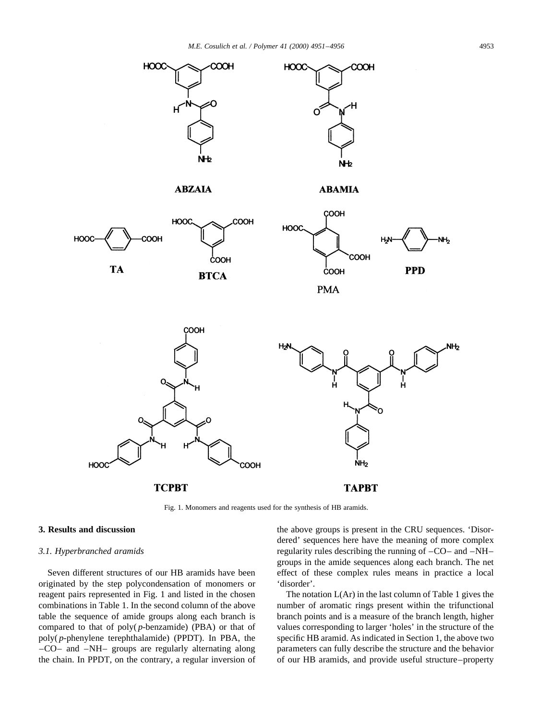

Fig. 1. Monomers and reagents used for the synthesis of HB aramids.

## **3. Results and discussion**

#### *3.1. Hyperbranched aramids*

Seven different structures of our HB aramids have been originated by the step polycondensation of monomers or reagent pairs represented in Fig. 1 and listed in the chosen combinations in Table 1. In the second column of the above table the sequence of amide groups along each branch is compared to that of poly( *p*-benzamide) (PBA) or that of poly( *p*-phenylene terephthalamide) (PPDT). In PBA, the –CO– and –NH– groups are regularly alternating along the chain. In PPDT, on the contrary, a regular inversion of the above groups is present in the CRU sequences. 'Disordered' sequences here have the meaning of more complex regularity rules describing the running of –CO– and –NH– groups in the amide sequences along each branch. The net effect of these complex rules means in practice a local 'disorder'.

The notation L(Ar) in the last column of Table 1 gives the number of aromatic rings present within the trifunctional branch points and is a measure of the branch length, higher values corresponding to larger 'holes' in the structure of the specific HB aramid. As indicated in Section 1, the above two parameters can fully describe the structure and the behavior of our HB aramids, and provide useful structure–property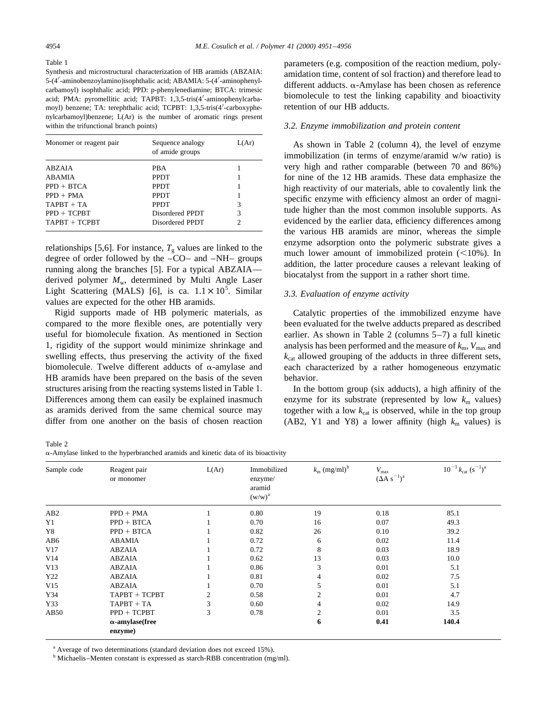Table 1

Synthesis and microstructural characterization of HB aramids (ABZAIA: 5-(4'-aminobenzoylamino)isophthalic acid; ABAMIA: 5-(4'-aminophenylcarbamoyl) isophthalic acid; PPD: p-phenylenediamine; BTCA: trimesic acid; PMA: pyromellitic acid; TAPBT: 1,3,5-tris(4'-aminophenylcarbamoyl) benzene; TA: terephthalic acid; TCPBT: 1,3,5-tris(4'-carboxyphenylcarbamoyl)benzene; L(Ar) is the number of aromatic rings present within the trifunctional branch points)

| Monomer or reagent pair | Sequence analogy<br>of amide groups | L(Ar) |
|-------------------------|-------------------------------------|-------|
| ABZAIA                  | <b>PBA</b>                          |       |
| <b>ABAMIA</b>           | <b>PPDT</b>                         |       |
| $PPD + BTCA$            | <b>PPDT</b>                         |       |
| $PPD + PMA$             | <b>PPDT</b>                         |       |
| $TAPBT + TA$            | <b>PPDT</b>                         | 3     |
| $PPD + TCPBT$           | Disordered PPDT                     | 3     |
| TAPBT + TCPBT           | Disordered PPDT                     | 2     |

relationships [5,6]. For instance,  $T_g$  values are linked to the degree of order followed by the –CO– and –NH– groups running along the branches [5]. For a typical ABZAIA derived polymer *M*w, determined by Multi Angle Laser Light Scattering (MALS) [6], is ca.  $1.1 \times 10^5$ . Similar values are expected for the other HB aramids.

Rigid supports made of HB polymeric materials, as compared to the more flexible ones, are potentially very useful for biomolecule fixation. As mentioned in Section 1, rigidity of the support would minimize shrinkage and swelling effects, thus preserving the activity of the fixed biomolecule. Twelve different adducts of  $\alpha$ -amylase and HB aramids have been prepared on the basis of the seven structures arising from the reacting systems listed in Table 1. Differences among them can easily be explained inasmuch as aramids derived from the same chemical source may differ from one another on the basis of chosen reaction parameters (e.g. composition of the reaction medium, polyamidation time, content of sol fraction) and therefore lead to different adducts.  $\alpha$ -Amylase has been chosen as reference biomolecule to test the linking capability and bioactivity retention of our HB adducts.

#### *3.2. Enzyme immobilization and protein content*

As shown in Table 2 (column 4), the level of enzyme immobilization (in terms of enzyme/aramid w/w ratio) is very high and rather comparable (between 70 and 86%) for nine of the 12 HB aramids. These data emphasize the high reactivity of our materials, able to covalently link the specific enzyme with efficiency almost an order of magnitude higher than the most common insoluble supports. As evidenced by the earlier data, efficiency differences among the various HB aramids are minor, whereas the simple enzyme adsorption onto the polymeric substrate gives a much lower amount of immobilized protein  $(<10\%)$ . In addition, the latter procedure causes a relevant leaking of biocatalyst from the support in a rather short time.

#### *3.3. Evaluation of enzyme activity*

Catalytic properties of the immobilized enzyme have been evaluated for the twelve adducts prepared as described earlier. As shown in Table 2 (columns 5–7) a full kinetic analysis has been performed and the measure of  $k_{\rm m}$ ,  $V_{\rm max}$  and  $k_{\text{cat}}$  allowed grouping of the adducts in three different sets, each characterized by a rather homogeneous enzymatic behavior.

In the bottom group (six adducts), a high affinity of the enzyme for its substrate (represented by low  $k<sub>m</sub>$  values) together with a low  $k_{cat}$  is observed, while in the top group (AB2, Y1 and Y8) a lower affinity (high  $k_m$  values) is

Table 2

a-Amylase linked to the hyperbranched aramids and kinetic data of its bioactivity

| Sample code     | Reagent pair<br>or monomer        | L(Ar) | Immobilized<br>enzyme/<br>aramid<br>$(w/w)^a$ | $k_{\rm m}$ (mg/ml) <sup>b</sup> | $V_{\rm max}$<br>$(\Delta A s^{-1})^a$ | $10^{-3}$ $k_{\text{cat}}$ $(s^{-1})^{\text{a}}$ |
|-----------------|-----------------------------------|-------|-----------------------------------------------|----------------------------------|----------------------------------------|--------------------------------------------------|
| AB <sub>2</sub> | $PPD + PMA$                       |       | 0.80                                          | 19                               | 0.18                                   | 85.1                                             |
| Y <sub>1</sub>  | $PPD + BTCA$                      |       | 0.70                                          | 16                               | 0.07                                   | 49.3                                             |
| Y8              | $PPD + BTCA$                      |       | 0.82                                          | 26                               | 0.10                                   | 39.2                                             |
| AB6             | ABAMIA                            |       | 0.72                                          | 6                                | 0.02                                   | 11.4                                             |
| V17             | <b>ABZAIA</b>                     |       | 0.72                                          | 8                                | 0.03                                   | 18.9                                             |
| V14             | <b>ABZAIA</b>                     |       | 0.62                                          | 13                               | 0.03                                   | 10.0                                             |
| V13             | <b>ABZAIA</b>                     |       | 0.86                                          | 3                                | 0.01                                   | 5.1                                              |
| Y22             | <b>ABZAIA</b>                     |       | 0.81                                          | 4                                | 0.02                                   | 7.5                                              |
| V15             | <b>ABZAIA</b>                     |       | 0.70                                          | 5                                | 0.01                                   | 5.1                                              |
| Y34             | TAPBT + TCPBT                     | 2     | 0.58                                          | 2                                | 0.01                                   | 4.7                                              |
| Y33             | TAPBT + TA                        | 3     | 0.60                                          | 4                                | 0.02                                   | 14.9                                             |
| AB50            | $PPD + TCPBT$                     | 3     | 0.78                                          | $\overline{2}$                   | 0.01                                   | 3.5                                              |
|                 | $\alpha$ -amylase(free<br>enzyme) |       |                                               | 6                                | 0.41                                   | 140.4                                            |

<sup>a</sup> Average of two determinations (standard deviation does not exceed 15%).

<sup>b</sup> Michaelis–Menten constant is expressed as starch-RBB concentration (mg/ml).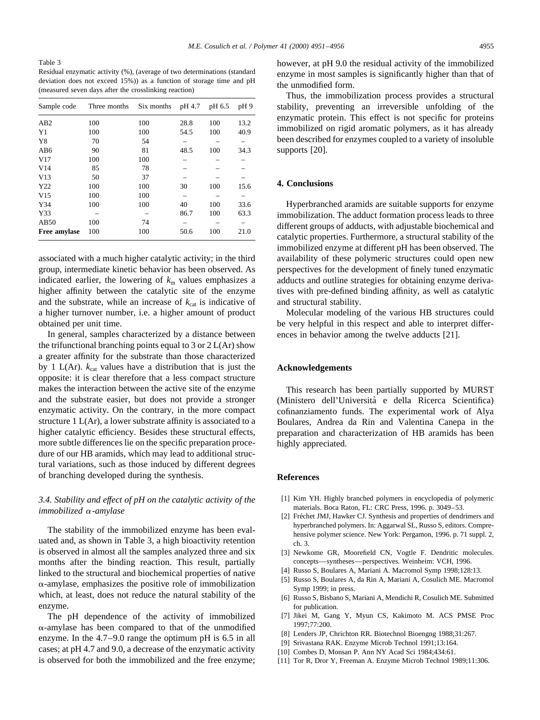Table 3 Residual enzymatic activity (%), (average of two determinations (standard deviation does not exceed 15%)) as a function of storage time and pH (measured seven days after the crosslinking reaction)

| Sample code    | Three months | Six months | pH 4.7 | pH 6.5 | pH9  |
|----------------|--------------|------------|--------|--------|------|
| AB2            | 100          | 100        | 28.8   | 100    | 13.2 |
| Y <sub>1</sub> | 100          | 100        | 54.5   | 100    | 40.9 |
| Y8             | 70           | 54         |        |        |      |
| AB6            | 90           | 81         | 48.5   | 100    | 34.3 |
| V17            | 100          | 100        |        |        |      |
| V14            | 85           | 78         |        |        |      |
| V13            | 50           | 37         |        |        |      |
| Y22            | 100          | 100        | 30     | 100    | 15.6 |
| V15            | 100          | 100        |        |        |      |
| Y34            | 100          | 100        | 40     | 100    | 33.6 |
| Y33            |              |            | 86.7   | 100    | 63.3 |
| AB50           | 100          | 74         |        |        |      |
| Free amylase   | 100          | 100        | 50.6   | 100    | 21.0 |

associated with a much higher catalytic activity; in the third group, intermediate kinetic behavior has been observed. As indicated earlier, the lowering of  $k<sub>m</sub>$  values emphasizes a higher affinity between the catalytic site of the enzyme and the substrate, while an increase of  $k_{\text{cat}}$  is indicative of a higher turnover number, i.e. a higher amount of product obtained per unit time.

In general, samples characterized by a distance between the trifunctional branching points equal to 3 or  $2 L(Ar)$  show a greater affinity for the substrate than those characterized by 1 L(Ar).  $k_{cat}$  values have a distribution that is just the opposite: it is clear therefore that a less compact structure makes the interaction between the active site of the enzyme and the substrate easier, but does not provide a stronger enzymatic activity. On the contrary, in the more compact structure 1 L(Ar), a lower substrate affinity is associated to a higher catalytic efficiency. Besides these structural effects, more subtle differences lie on the specific preparation procedure of our HB aramids, which may lead to additional structural variations, such as those induced by different degrees of branching developed during the synthesis.

# *3.4. Stability and effect of pH on the catalytic activity of the immobilized* <sup>a</sup>*-amylase*

The stability of the immobilized enzyme has been evaluated and, as shown in Table 3, a high bioactivity retention is observed in almost all the samples analyzed three and six months after the binding reaction. This result, partially linked to the structural and biochemical properties of native  $\alpha$ -amylase, emphasizes the positive role of immobilization which, at least, does not reduce the natural stability of the enzyme.

The pH dependence of the activity of immobilized  $\alpha$ -amylase has been compared to that of the unmodified enzyme. In the 4.7–9.0 range the optimum pH is 6.5 in all cases; at pH 4.7 and 9.0, a decrease of the enzymatic activity is observed for both the immobilized and the free enzyme;

however, at pH 9.0 the residual activity of the immobilized enzyme in most samples is significantly higher than that of the unmodified form.

Thus, the immobilization process provides a structural stability, preventing an irreversible unfolding of the enzymatic protein. This effect is not specific for proteins immobilized on rigid aromatic polymers, as it has already been described for enzymes coupled to a variety of insoluble supports [20].

# **4. Conclusions**

Hyperbranched aramids are suitable supports for enzyme immobilization. The adduct formation process leads to three different groups of adducts, with adjustable biochemical and catalytic properties. Furthermore, a structural stability of the immobilized enzyme at different pH has been observed. The availability of these polymeric structures could open new perspectives for the development of finely tuned enzymatic adducts and outline strategies for obtaining enzyme derivatives with pre-defined binding affinity, as well as catalytic and structural stability.

Molecular modeling of the various HB structures could be very helpful in this respect and able to interpret differences in behavior among the twelve adducts [21].

#### **Acknowledgements**

This research has been partially supported by MURST (Ministero dell'Universita` e della Ricerca Scientifica) cofinanziamento funds. The experimental work of Alya Boulares, Andrea da Rin and Valentina Canepa in the preparation and characterization of HB aramids has been highly appreciated.

#### **References**

- [1] Kim YH. Highly branched polymers in encyclopedia of polymeric materials. Boca Raton, FL: CRC Press, 1996. p. 3049–53.
- [2] Fréchet JMJ, Hawker CJ. Synthesis and properties of dendrimers and hyperbranched polymers. In: Aggarwal SL, Russo S, editors. Comprehensive polymer science. New York: Pergamon, 1996. p. 71 suppl. 2, ch. 3.
- [3] Newkome GR, Moorefield CN, Vogtle F. Dendritic molecules. concepts—syntheses—perspectives. Weinheim: VCH, 1996.
- [4] Russo S, Boulares A, Mariani A. Macromol Symp 1998;128:13.
- [5] Russo S, Boulares A, da Rin A, Mariani A, Cosulich ME. Macromol Symp 1999; in press.
- [6] Russo S, Bisbano S, Mariani A, Mendichi R, Cosulich ME. Submitted for publication.
- [7] Jikei M, Gang Y, Myun CS, Kakimoto M. ACS PMSE Proc 1997;77:200.
- [8] Lenders JP, Chrichton RR. Biotechnol Bioengng 1988;31:267.
- [9] Srivastana RAK. Enzyme Microb Technol 1991;13:164.
- [10] Combes D, Monsan P. Ann NY Acad Sci 1984;434:61.
- [11] Tor R, Dror Y, Freeman A. Enzyme Microb Technol 1989;11:306.